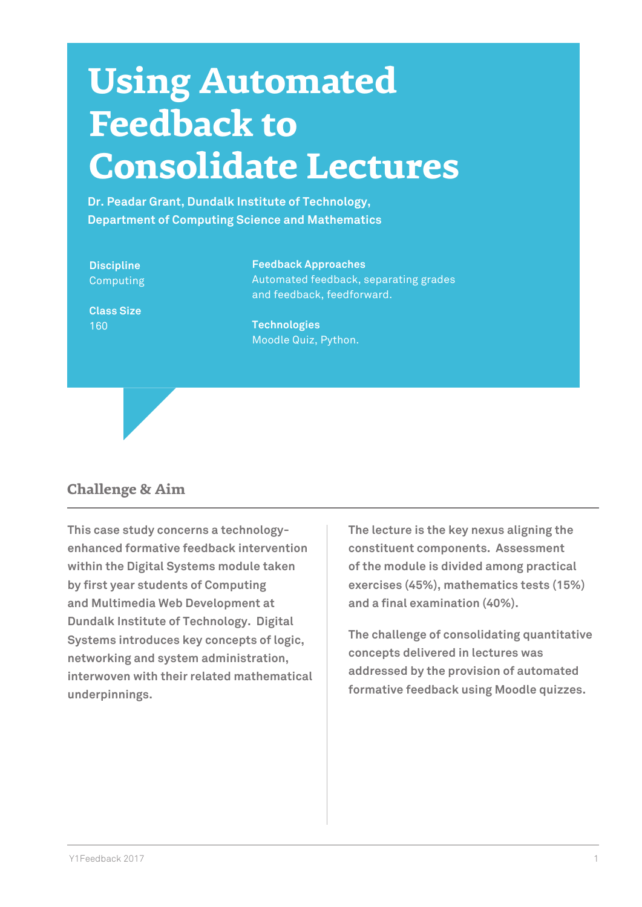# **Using Automated Feedback to Consolidate Lectures**

**Dr. Peadar Grant, Dundalk Institute of Technology, Department of Computing Science and Mathematics**

**Discipline** Computing

Automated feedback, separating grades and feedback, feedforward.

**Class Size** 160

**Technologies** Moodle Quiz, Python.

**Feedback Approaches**

## **Challenge & Aim**

**This case study concerns a technologyenhanced formative feedback intervention within the Digital Systems module taken by first year students of Computing and Multimedia Web Development at Dundalk Institute of Technology. Digital Systems introduces key concepts of logic, networking and system administration, interwoven with their related mathematical underpinnings.** 

**The lecture is the key nexus aligning the constituent components. Assessment of the module is divided among practical exercises (45%), mathematics tests (15%) and a final examination (40%).** 

**The challenge of consolidating quantitative concepts delivered in lectures was addressed by the provision of automated formative feedback using Moodle quizzes.**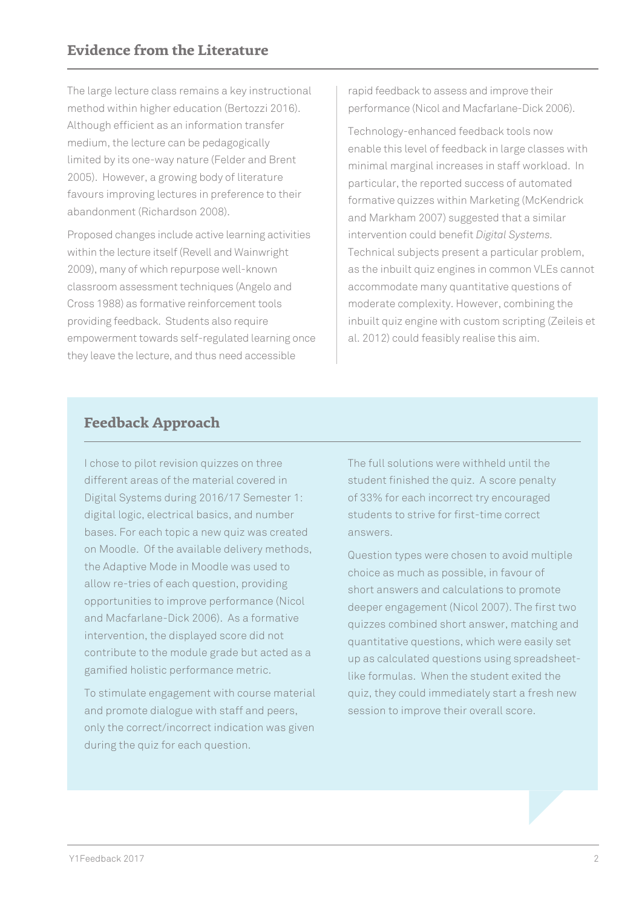The large lecture class remains a key instructional method within higher education (Bertozzi 2016). Although efficient as an information transfer medium, the lecture can be pedagogically limited by its one-way nature (Felder and Brent 2005). However, a growing body of literature favours improving lectures in preference to their abandonment (Richardson 2008).

Proposed changes include active learning activities within the lecture itself (Revell and Wainwright 2009), many of which repurpose well-known classroom assessment techniques (Angelo and Cross 1988) as formative reinforcement tools providing feedback. Students also require empowerment towards self-regulated learning once they leave the lecture, and thus need accessible

rapid feedback to assess and improve their performance (Nicol and Macfarlane-Dick 2006).

Technology-enhanced feedback tools now enable this level of feedback in large classes with minimal marginal increases in staff workload. In particular, the reported success of automated formative quizzes within Marketing (McKendrick and Markham 2007) suggested that a similar intervention could benefit *Digital Systems.* Technical subjects present a particular problem, as the inbuilt quiz engines in common VLEs cannot accommodate many quantitative questions of moderate complexity. However, combining the inbuilt quiz engine with custom scripting (Zeileis et al. 2012) could feasibly realise this aim.

# **Feedback Approach**

I chose to pilot revision quizzes on three different areas of the material covered in Digital Systems during 2016/17 Semester 1: digital logic, electrical basics, and number bases. For each topic a new quiz was created on Moodle. Of the available delivery methods, the Adaptive Mode in Moodle was used to allow re-tries of each question, providing opportunities to improve performance (Nicol and Macfarlane-Dick 2006). As a formative intervention, the displayed score did not contribute to the module grade but acted as a gamified holistic performance metric.

To stimulate engagement with course material and promote dialogue with staff and peers, only the correct/incorrect indication was given during the quiz for each question.

The full solutions were withheld until the student finished the quiz. A score penalty of 33% for each incorrect try encouraged students to strive for first-time correct answers.

Question types were chosen to avoid multiple choice as much as possible, in favour of short answers and calculations to promote deeper engagement (Nicol 2007). The first two quizzes combined short answer, matching and quantitative questions, which were easily set up as calculated questions using spreadsheetlike formulas. When the student exited the quiz, they could immediately start a fresh new session to improve their overall score.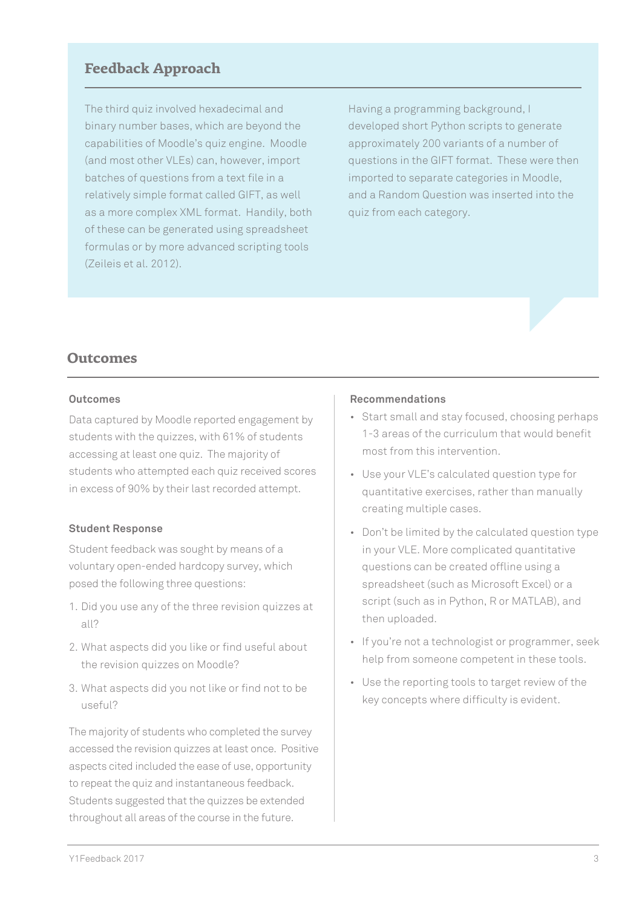## **Feedback Approach**

The third quiz involved hexadecimal and binary number bases, which are beyond the capabilities of Moodle's quiz engine. Moodle (and most other VLEs) can, however, import batches of questions from a text file in a relatively simple format called GIFT, as well as a more complex XML format. Handily, both of these can be generated using spreadsheet formulas or by more advanced scripting tools (Zeileis et al. 2012).

Having a programming background, I developed short Python scripts to generate approximately 200 variants of a number of questions in the GIFT format. These were then imported to separate categories in Moodle, and a Random Question was inserted into the quiz from each category.

### **Outcomes**

#### **Outcomes**

Data captured by Moodle reported engagement by students with the quizzes, with 61% of students accessing at least one quiz. The majority of students who attempted each quiz received scores in excess of 90% by their last recorded attempt.

#### **Student Response**

Student feedback was sought by means of a voluntary open-ended hardcopy survey, which posed the following three questions:

- 1. Did you use any of the three revision quizzes at all?
- 2. What aspects did you like or find useful about the revision quizzes on Moodle?
- 3. What aspects did you not like or find not to be useful?

The majority of students who completed the survey accessed the revision quizzes at least once. Positive aspects cited included the ease of use, opportunity to repeat the quiz and instantaneous feedback. Students suggested that the quizzes be extended throughout all areas of the course in the future.

#### **Recommendations**

- Start small and stay focused, choosing perhaps 1-3 areas of the curriculum that would benefit most from this intervention.
- Use your VLE's calculated question type for quantitative exercises, rather than manually creating multiple cases.
- Don't be limited by the calculated question type in your VLE. More complicated quantitative questions can be created offline using a spreadsheet (such as Microsoft Excel) or a script (such as in Python, R or MATLAB), and then uploaded.
- If you're not a technologist or programmer, seek help from someone competent in these tools.
- Use the reporting tools to target review of the key concepts where difficulty is evident.